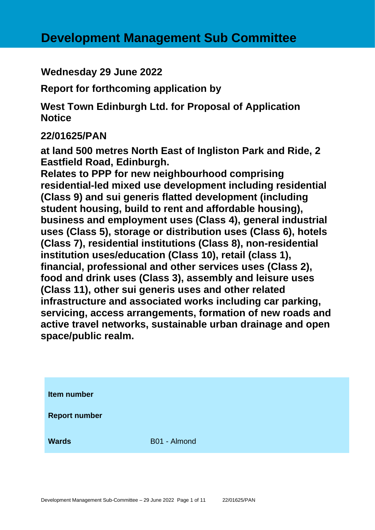**Wednesday 29 June 2022**

**Report for forthcoming application by**

**West Town Edinburgh Ltd. for Proposal of Application Notice** 

# **22/01625/PAN**

**at land 500 metres North East of Ingliston Park and Ride, 2 Eastfield Road, Edinburgh.**

**Relates to PPP for new neighbourhood comprising residential-led mixed use development including residential (Class 9) and sui generis flatted development (including student housing, build to rent and affordable housing), business and employment uses (Class 4), general industrial uses (Class 5), storage or distribution uses (Class 6), hotels (Class 7), residential institutions (Class 8), non-residential institution uses/education (Class 10), retail (class 1), financial, professional and other services uses (Class 2), food and drink uses (Class 3), assembly and leisure uses (Class 11), other sui generis uses and other related infrastructure and associated works including car parking, servicing, access arrangements, formation of new roads and active travel networks, sustainable urban drainage and open space/public realm.**

| Item number          |              |
|----------------------|--------------|
| <b>Report number</b> |              |
| <b>Wards</b>         | B01 - Almond |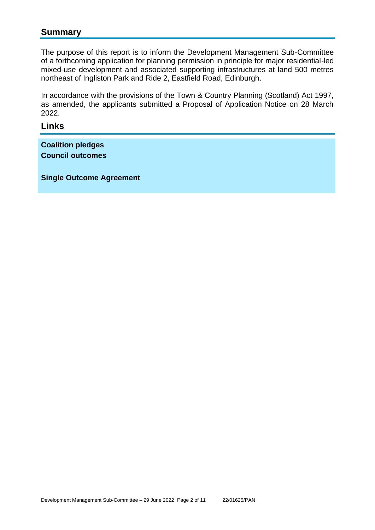## **Summary**

The purpose of this report is to inform the Development Management Sub-Committee of a forthcoming application for planning permission in principle for major residential-led mixed-use development and associated supporting infrastructures at land 500 metres northeast of Ingliston Park and Ride 2, Eastfield Road, Edinburgh.

In accordance with the provisions of the Town & Country Planning (Scotland) Act 1997, as amended, the applicants submitted a Proposal of Application Notice on 28 March 2022.

#### **Links**

**Coalition pledges Council outcomes**

**Single Outcome Agreement**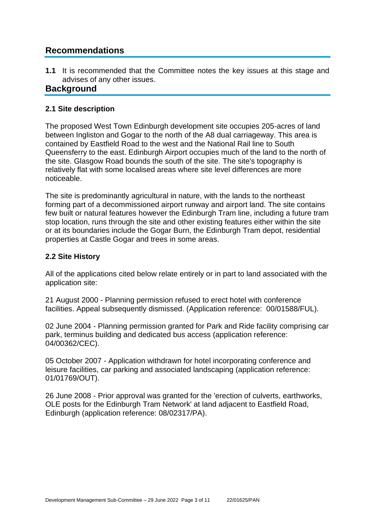# **Recommendations**

**1.1** It is recommended that the Committee notes the key issues at this stage and advises of any other issues.

## **Background**

### **2.1 Site description**

The proposed West Town Edinburgh development site occupies 205-acres of land between Ingliston and Gogar to the north of the A8 dual carriageway. This area is contained by Eastfield Road to the west and the National Rail line to South Queensferry to the east. Edinburgh Airport occupies much of the land to the north of the site. Glasgow Road bounds the south of the site. The site's topography is relatively flat with some localised areas where site level differences are more noticeable.

The site is predominantly agricultural in nature, with the lands to the northeast forming part of a decommissioned airport runway and airport land. The site contains few built or natural features however the Edinburgh Tram line, including a future tram stop location, runs through the site and other existing features either within the site or at its boundaries include the Gogar Burn, the Edinburgh Tram depot, residential properties at Castle Gogar and trees in some areas.

### **2.2 Site History**

All of the applications cited below relate entirely or in part to land associated with the application site:

21 August 2000 - Planning permission refused to erect hotel with conference facilities. Appeal subsequently dismissed. (Application reference: 00/01588/FUL).

02 June 2004 - Planning permission granted for Park and Ride facility comprising car park, terminus building and dedicated bus access (application reference: 04/00362/CEC).

05 October 2007 - Application withdrawn for hotel incorporating conference and leisure facilities, car parking and associated landscaping (application reference: 01/01769/OUT).

26 June 2008 - Prior approval was granted for the 'erection of culverts, earthworks, OLE posts for the Edinburgh Tram Network' at land adjacent to Eastfield Road, Edinburgh (application reference: 08/02317/PA).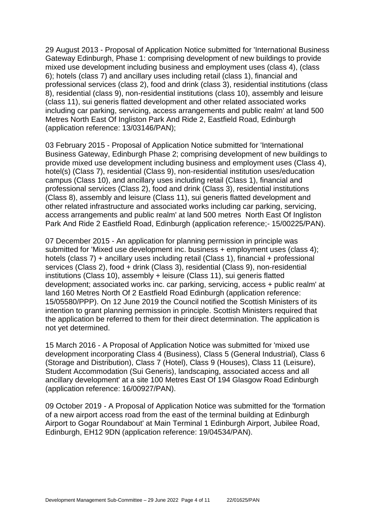29 August 2013 - Proposal of Application Notice submitted for 'International Business Gateway Edinburgh, Phase 1: comprising development of new buildings to provide mixed use development including business and employment uses (class 4), (class 6); hotels (class 7) and ancillary uses including retail (class 1), financial and professional services (class 2), food and drink (class 3), residential institutions (class 8), residential (class 9), non-residential institutions (class 10), assembly and leisure (class 11), sui generis flatted development and other related associated works including car parking, servicing, access arrangements and public realm' at land 500 Metres North East Of Ingliston Park And Ride 2, Eastfield Road, Edinburgh (application reference: 13/03146/PAN);

03 February 2015 - Proposal of Application Notice submitted for 'International Business Gateway, Edinburgh Phase 2; comprising development of new buildings to provide mixed use development including business and employment uses (Class 4), hotel(s) (Class 7), residential (Class 9), non-residential institution uses/education campus (Class 10), and ancillary uses including retail (Class 1), financial and professional services (Class 2), food and drink (Class 3), residential institutions (Class 8), assembly and leisure (Class 11), sui generis flatted development and other related infrastructure and associated works including car parking, servicing, access arrangements and public realm' at land 500 metres North East Of Ingliston Park And Ride 2 Eastfield Road, Edinburgh (application reference;- 15/00225/PAN).

07 December 2015 - An application for planning permission in principle was submitted for 'Mixed use development inc. business + employment uses (class 4); hotels (class 7) + ancillary uses including retail (Class 1), financial + professional services (Class 2), food + drink (Class 3), residential (Class 9), non-residential institutions (Class 10), assembly + leisure (Class 11), sui generis flatted development; associated works inc. car parking, servicing, access + public realm' at land 160 Metres North Of 2 Eastfield Road Edinburgh (application reference: 15/05580/PPP). On 12 June 2019 the Council notified the Scottish Ministers of its intention to grant planning permission in principle. Scottish Ministers required that the application be referred to them for their direct determination. The application is not yet determined.

15 March 2016 - A Proposal of Application Notice was submitted for 'mixed use development incorporating Class 4 (Business), Class 5 (General Industrial), Class 6 (Storage and Distribution), Class 7 (Hotel), Class 9 (Houses), Class 11 (Leisure), Student Accommodation (Sui Generis), landscaping, associated access and all ancillary development' at a site 100 Metres East Of 194 Glasgow Road Edinburgh (application reference: 16/00927/PAN).

09 October 2019 - A Proposal of Application Notice was submitted for the 'formation of a new airport access road from the east of the terminal building at Edinburgh Airport to Gogar Roundabout' at Main Terminal 1 Edinburgh Airport, Jubilee Road, Edinburgh, EH12 9DN (application reference: 19/04534/PAN).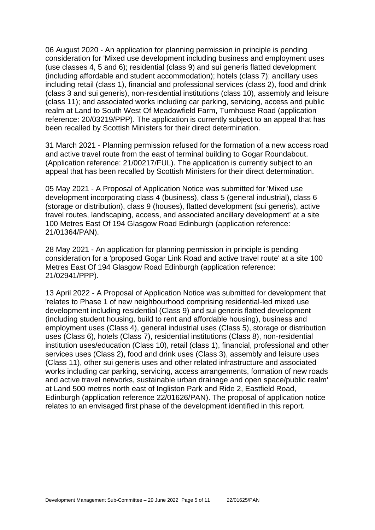06 August 2020 - An application for planning permission in principle is pending consideration for 'Mixed use development including business and employment uses (use classes 4, 5 and 6); residential (class 9) and sui generis flatted development (including affordable and student accommodation); hotels (class 7); ancillary uses including retail (class 1), financial and professional services (class 2), food and drink (class 3 and sui generis), non-residential institutions (class 10), assembly and leisure (class 11); and associated works including car parking, servicing, access and public realm at Land to South West Of Meadowfield Farm, Turnhouse Road (application reference: 20/03219/PPP). The application is currently subject to an appeal that has been recalled by Scottish Ministers for their direct determination.

31 March 2021 - Planning permission refused for the formation of a new access road and active travel route from the east of terminal building to Gogar Roundabout. (Application reference: 21/00217/FUL). The application is currently subject to an appeal that has been recalled by Scottish Ministers for their direct determination.

05 May 2021 - A Proposal of Application Notice was submitted for 'Mixed use development incorporating class 4 (business), class 5 (general industrial), class 6 (storage or distribution), class 9 (houses), flatted development (sui generis), active travel routes, landscaping, access, and associated ancillary development' at a site 100 Metres East Of 194 Glasgow Road Edinburgh (application reference: 21/01364/PAN).

28 May 2021 - An application for planning permission in principle is pending consideration for a 'proposed Gogar Link Road and active travel route' at a site 100 Metres East Of 194 Glasgow Road Edinburgh (application reference: 21/02941/PPP).

13 April 2022 - A Proposal of Application Notice was submitted for development that 'relates to Phase 1 of new neighbourhood comprising residential-led mixed use development including residential (Class 9) and sui generis flatted development (including student housing, build to rent and affordable housing), business and employment uses (Class 4), general industrial uses (Class 5), storage or distribution uses (Class 6), hotels (Class 7), residential institutions (Class 8), non-residential institution uses/education (Class 10), retail (class 1), financial, professional and other services uses (Class 2), food and drink uses (Class 3), assembly and leisure uses (Class 11), other sui generis uses and other related infrastructure and associated works including car parking, servicing, access arrangements, formation of new roads and active travel networks, sustainable urban drainage and open space/public realm' at Land 500 metres north east of Ingliston Park and Ride 2, Eastfield Road, Edinburgh (application reference 22/01626/PAN). The proposal of application notice relates to an envisaged first phase of the development identified in this report.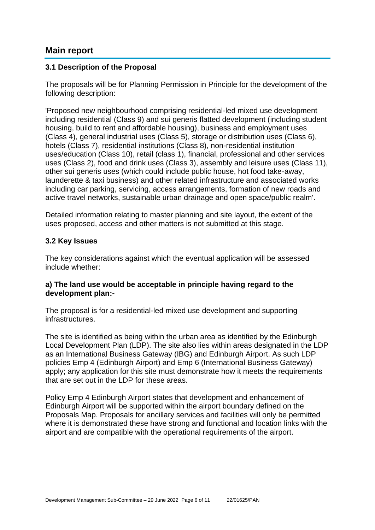## **Main report**

#### **3.1 Description of the Proposal**

The proposals will be for Planning Permission in Principle for the development of the following description:

'Proposed new neighbourhood comprising residential-led mixed use development including residential (Class 9) and sui generis flatted development (including student housing, build to rent and affordable housing), business and employment uses (Class 4), general industrial uses (Class 5), storage or distribution uses (Class 6), hotels (Class 7), residential institutions (Class 8), non-residential institution uses/education (Class 10), retail (class 1), financial, professional and other services uses (Class 2), food and drink uses (Class 3), assembly and leisure uses (Class 11), other sui generis uses (which could include public house, hot food take-away, launderette & taxi business) and other related infrastructure and associated works including car parking, servicing, access arrangements, formation of new roads and active travel networks, sustainable urban drainage and open space/public realm'.

Detailed information relating to master planning and site layout, the extent of the uses proposed, access and other matters is not submitted at this stage.

#### **3.2 Key Issues**

The key considerations against which the eventual application will be assessed include whether:

#### **a) The land use would be acceptable in principle having regard to the development plan:-**

The proposal is for a residential-led mixed use development and supporting infrastructures.

The site is identified as being within the urban area as identified by the Edinburgh Local Development Plan (LDP). The site also lies within areas designated in the LDP as an International Business Gateway (IBG) and Edinburgh Airport. As such LDP policies Emp 4 (Edinburgh Airport) and Emp 6 (International Business Gateway) apply; any application for this site must demonstrate how it meets the requirements that are set out in the LDP for these areas.

Policy Emp 4 Edinburgh Airport states that development and enhancement of Edinburgh Airport will be supported within the airport boundary defined on the Proposals Map. Proposals for ancillary services and facilities will only be permitted where it is demonstrated these have strong and functional and location links with the airport and are compatible with the operational requirements of the airport.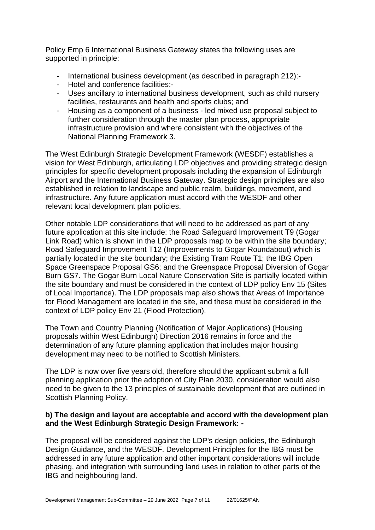Policy Emp 6 International Business Gateway states the following uses are supported in principle:

- International business development (as described in paragraph 212):-
- Hotel and conference facilities:-
- Uses ancillary to international business development, such as child nursery facilities, restaurants and health and sports clubs; and
- Housing as a component of a business led mixed use proposal subject to further consideration through the master plan process, appropriate infrastructure provision and where consistent with the objectives of the National Planning Framework 3.

The West Edinburgh Strategic Development Framework (WESDF) establishes a vision for West Edinburgh, articulating LDP objectives and providing strategic design principles for specific development proposals including the expansion of Edinburgh Airport and the International Business Gateway. Strategic design principles are also established in relation to landscape and public realm, buildings, movement, and infrastructure. Any future application must accord with the WESDF and other relevant local development plan policies.

Other notable LDP considerations that will need to be addressed as part of any future application at this site include: the Road Safeguard Improvement T9 (Gogar Link Road) which is shown in the LDP proposals map to be within the site boundary; Road Safeguard Improvement T12 (Improvements to Gogar Roundabout) which is partially located in the site boundary; the Existing Tram Route T1; the IBG Open Space Greenspace Proposal GS6; and the Greenspace Proposal Diversion of Gogar Burn GS7. The Gogar Burn Local Nature Conservation Site is partially located within the site boundary and must be considered in the context of LDP policy Env 15 (Sites of Local Importance). The LDP proposals map also shows that Areas of Importance for Flood Management are located in the site, and these must be considered in the context of LDP policy Env 21 (Flood Protection).

The Town and Country Planning (Notification of Major Applications) (Housing proposals within West Edinburgh) Direction 2016 remains in force and the determination of any future planning application that includes major housing development may need to be notified to Scottish Ministers.

The LDP is now over five years old, therefore should the applicant submit a full planning application prior the adoption of City Plan 2030, consideration would also need to be given to the 13 principles of sustainable development that are outlined in Scottish Planning Policy.

### **b) The design and layout are acceptable and accord with the development plan and the West Edinburgh Strategic Design Framework: -**

The proposal will be considered against the LDP's design policies, the Edinburgh Design Guidance, and the WESDF. Development Principles for the IBG must be addressed in any future application and other important considerations will include phasing, and integration with surrounding land uses in relation to other parts of the IBG and neighbouring land.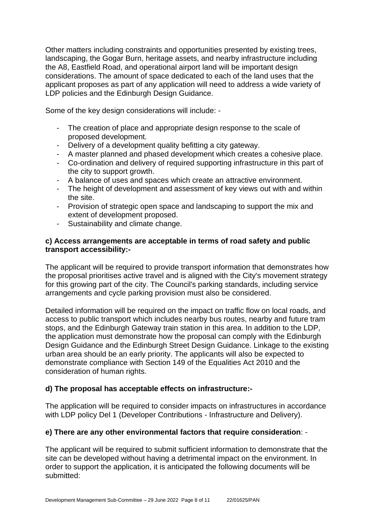Other matters including constraints and opportunities presented by existing trees, landscaping, the Gogar Burn, heritage assets, and nearby infrastructure including the A8, Eastfield Road, and operational airport land will be important design considerations. The amount of space dedicated to each of the land uses that the applicant proposes as part of any application will need to address a wide variety of LDP policies and the Edinburgh Design Guidance.

Some of the key design considerations will include: -

- The creation of place and appropriate design response to the scale of proposed development.
- Delivery of a development quality befitting a city gateway.
- A master planned and phased development which creates a cohesive place.
- Co-ordination and delivery of required supporting infrastructure in this part of the city to support growth.
- A balance of uses and spaces which create an attractive environment.
- The height of development and assessment of key views out with and within the site.
- Provision of strategic open space and landscaping to support the mix and extent of development proposed.
- Sustainability and climate change.

#### **c) Access arrangements are acceptable in terms of road safety and public transport accessibility:-**

The applicant will be required to provide transport information that demonstrates how the proposal prioritises active travel and is aligned with the City's movement strategy for this growing part of the city. The Council's parking standards, including service arrangements and cycle parking provision must also be considered.

Detailed information will be required on the impact on traffic flow on local roads, and access to public transport which includes nearby bus routes, nearby and future tram stops, and the Edinburgh Gateway train station in this area. In addition to the LDP, the application must demonstrate how the proposal can comply with the Edinburgh Design Guidance and the Edinburgh Street Design Guidance. Linkage to the existing urban area should be an early priority. The applicants will also be expected to demonstrate compliance with Section 149 of the Equalities Act 2010 and the consideration of human rights.

## **d) The proposal has acceptable effects on infrastructure:-**

The application will be required to consider impacts on infrastructures in accordance with LDP policy Del 1 (Developer Contributions - Infrastructure and Delivery).

## **e) There are any other environmental factors that require consideration**: -

The applicant will be required to submit sufficient information to demonstrate that the site can be developed without having a detrimental impact on the environment. In order to support the application, it is anticipated the following documents will be submitted: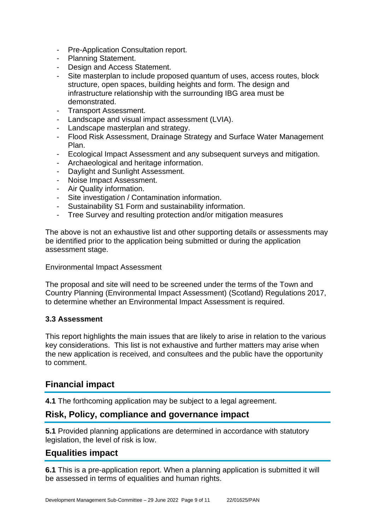- Pre-Application Consultation report.
- Planning Statement.
- Design and Access Statement.
- Site masterplan to include proposed quantum of uses, access routes, block structure, open spaces, building heights and form. The design and infrastructure relationship with the surrounding IBG area must be demonstrated.
- Transport Assessment.
- Landscape and visual impact assessment (LVIA).
- Landscape masterplan and strategy.
- Flood Risk Assessment, Drainage Strategy and Surface Water Management Plan.
- Ecological Impact Assessment and any subsequent surveys and mitigation.
- Archaeological and heritage information.
- Daylight and Sunlight Assessment.
- Noise Impact Assessment.
- Air Quality information.
- Site investigation / Contamination information.
- Sustainability S1 Form and sustainability information.
- Tree Survey and resulting protection and/or mitigation measures

The above is not an exhaustive list and other supporting details or assessments may be identified prior to the application being submitted or during the application assessment stage.

Environmental Impact Assessment

The proposal and site will need to be screened under the terms of the Town and Country Planning (Environmental Impact Assessment) (Scotland) Regulations 2017, to determine whether an Environmental Impact Assessment is required.

#### **3.3 Assessment**

This report highlights the main issues that are likely to arise in relation to the various key considerations. This list is not exhaustive and further matters may arise when the new application is received, and consultees and the public have the opportunity to comment.

# **Financial impact**

**4.1** The forthcoming application may be subject to a legal agreement.

# **Risk, Policy, compliance and governance impact**

**5.1** Provided planning applications are determined in accordance with statutory legislation, the level of risk is low.

# **Equalities impact**

**6.1** This is a pre-application report. When a planning application is submitted it will be assessed in terms of equalities and human rights.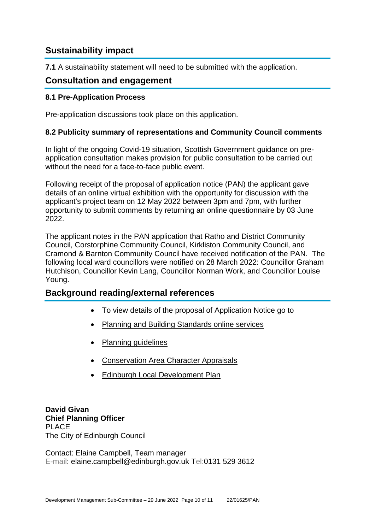# **Sustainability impact**

**7.1** A sustainability statement will need to be submitted with the application.

## **Consultation and engagement**

#### **8.1 Pre-Application Process**

Pre-application discussions took place on this application.

#### **8.2 Publicity summary of representations and Community Council comments**

In light of the ongoing Covid-19 situation, Scottish Government guidance on preapplication consultation makes provision for public consultation to be carried out without the need for a face-to-face public event.

Following receipt of the proposal of application notice (PAN) the applicant gave details of an online virtual exhibition with the opportunity for discussion with the applicant's project team on 12 May 2022 between 3pm and 7pm, with further opportunity to submit comments by returning an online questionnaire by 03 June 2022.

The applicant notes in the PAN application that Ratho and District Community Council, Corstorphine Community Council, Kirkliston Community Council, and Cramond & Barnton Community Council have received notification of the PAN. The following local ward councillors were notified on 28 March 2022: Councillor Graham Hutchison, Councillor Kevin Lang, Councillor Norman Work, and Councillor Louise Young.

## **Background reading/external references**

- To view details of the proposal of Application Notice go to
- [Planning and Building Standards online services](https://citydev-portal.edinburgh.gov.uk/idoxpa-web/search.do?action=simple&searchType=Application)
- [Planning guidelines](http://www.edinburgh.gov.uk/planningguidelines)
- [Conservation Area Character Appraisals](http://www.edinburgh.gov.uk/characterappraisals)
- [Edinburgh Local Development Plan](http://www.edinburgh.gov.uk/info/20164/proposed_local_development_plan/66/local_development_plan)

**David Givan Chief Planning Officer** PLACE The City of Edinburgh Council

Contact: Elaine Campbell, Team manager E-mail: elaine.campbell@edinburgh.gov.uk Tel:0131 529 3612